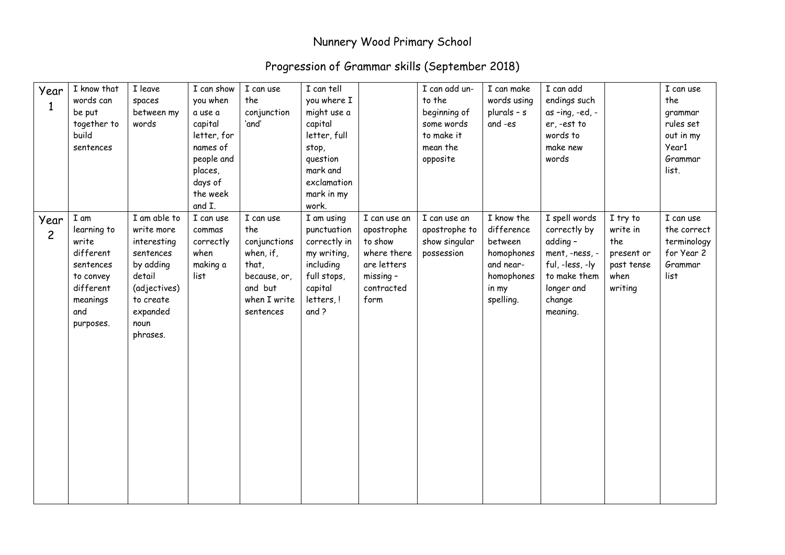## Nunnery Wood Primary School

## Progression of Grammar skills (September 2018)

| Year<br>$\mathbf{1}$   | I know that<br>words can<br>be put<br>together to<br>build<br>sentences                                          | I leave<br>spaces<br>between my<br>words                                                                                                   | I can show<br>you when<br>a use a<br>capital<br>letter, for<br>names of<br>people and<br>places,<br>days of<br>the week<br>and I. | I can use<br>the<br>conjunction<br>'and'                                                                       | I can tell<br>you where I<br>might use a<br>capital<br>letter, full<br>stop,<br>question<br>mark and<br>exclamation<br>mark in my<br>work. |                                                                                                        | I can add un-<br>to the<br>beginning of<br>some words<br>to make it<br>mean the<br>opposite | I can make<br>words using<br>plurals $- s$<br>and -es                                              | I can add<br>endings such<br>as -ing, -ed, -<br>er, -est to<br>words to<br>make new<br>words                                       |                                                                            | I can use<br>the<br>grammar<br>rules set<br>out in my<br>Year1<br>Grammar<br>list. |
|------------------------|------------------------------------------------------------------------------------------------------------------|--------------------------------------------------------------------------------------------------------------------------------------------|-----------------------------------------------------------------------------------------------------------------------------------|----------------------------------------------------------------------------------------------------------------|--------------------------------------------------------------------------------------------------------------------------------------------|--------------------------------------------------------------------------------------------------------|---------------------------------------------------------------------------------------------|----------------------------------------------------------------------------------------------------|------------------------------------------------------------------------------------------------------------------------------------|----------------------------------------------------------------------------|------------------------------------------------------------------------------------|
| Year<br>$\overline{c}$ | I am<br>learning to<br>write<br>different<br>sentences<br>to convey<br>different<br>meanings<br>and<br>purposes. | I am able to<br>write more<br>interesting<br>sentences<br>by adding<br>detail<br>(adjectives)<br>to create<br>expanded<br>noun<br>phrases. | I can use<br>commas<br>correctly<br>when<br>making a<br>list                                                                      | I can use<br>the<br>conjunctions<br>when, if,<br>that,<br>because, or,<br>and but<br>when I write<br>sentences | I am using<br>punctuation<br>correctly in<br>my writing,<br>including<br>full stops,<br>capital<br>letters, !<br>and ?                     | I can use an<br>apostrophe<br>to show<br>where there<br>are letters<br>missing -<br>contracted<br>form | I can use an<br>apostrophe to<br>show singular<br>possession                                | I know the<br>difference<br>between<br>homophones<br>and near-<br>homophones<br>in my<br>spelling. | I spell words<br>correctly by<br>adding -<br>ment, -ness, -<br>ful, -less, -ly<br>to make them<br>longer and<br>change<br>meaning. | I try to<br>write in<br>the<br>present or<br>past tense<br>when<br>writing | I can use<br>the correct<br>terminology<br>for Year 2<br>Grammar<br>list           |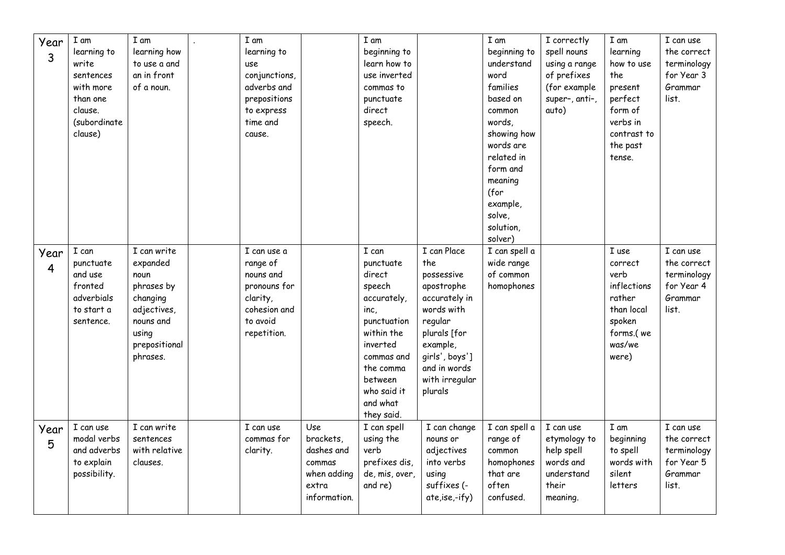| Year<br>3              | I am<br>learning to<br>write<br>sentences<br>with more<br>than one<br>clause.<br>(subordinate<br>clause) | I am<br>learning how<br>to use a and<br>an in front<br>of a noun.                                                           | I am<br>learning to<br>use<br>conjunctions,<br>adverbs and<br>prepositions<br>to express<br>time and<br>cause. |                                                                                  | I am<br>beginning to<br>learn how to<br>use inverted<br>commas to<br>punctuate<br>direct<br>speech.                                                                                   |                                                                                                                                                                                     | I am<br>beginning to<br>understand<br>word<br>families<br>based on<br>common<br>words,<br>showing how<br>words are<br>related in<br>form and<br>meaning<br>(for<br>example,<br>solve,<br>solution,<br>solver) | I correctly<br>spell nouns<br>using a range<br>of prefixes<br>(for example<br>super-, anti-,<br>auto) | I am<br>learning<br>how to use<br>the<br>present<br>perfect<br>form of<br>verbs in<br>contrast to<br>the past<br>tense. | I can use<br>the correct<br>terminology<br>for Year 3<br>Grammar<br>list. |
|------------------------|----------------------------------------------------------------------------------------------------------|-----------------------------------------------------------------------------------------------------------------------------|----------------------------------------------------------------------------------------------------------------|----------------------------------------------------------------------------------|---------------------------------------------------------------------------------------------------------------------------------------------------------------------------------------|-------------------------------------------------------------------------------------------------------------------------------------------------------------------------------------|---------------------------------------------------------------------------------------------------------------------------------------------------------------------------------------------------------------|-------------------------------------------------------------------------------------------------------|-------------------------------------------------------------------------------------------------------------------------|---------------------------------------------------------------------------|
| Year<br>$\overline{4}$ | I can<br>punctuate<br>and use<br>fronted<br>adverbials<br>to start a<br>sentence.                        | I can write<br>expanded<br>noun<br>phrases by<br>changing<br>adjectives,<br>nouns and<br>using<br>prepositional<br>phrases. | I can use a<br>range of<br>nouns and<br>pronouns for<br>clarity,<br>cohesion and<br>to avoid<br>repetition.    |                                                                                  | I can<br>punctuate<br>direct<br>speech<br>accurately,<br>inc,<br>punctuation<br>within the<br>inverted<br>commas and<br>the comma<br>between<br>who said it<br>and what<br>they said. | I can Place<br>the<br>possessive<br>apostrophe<br>accurately in<br>words with<br>regular<br>plurals [for<br>example,<br>qirls', boys']<br>and in words<br>with irregular<br>plurals | I can spell a<br>wide range<br>of common<br>homophones                                                                                                                                                        |                                                                                                       | I use<br>correct<br>verb<br>inflections<br>rather<br>than local<br>spoken<br>forms.(we<br>was/we<br>were)               | I can use<br>the correct<br>terminology<br>for Year 4<br>Grammar<br>list. |
| Year<br>5              | I can use<br>modal verbs<br>and adverbs<br>to explain<br>possibility.                                    | I can write<br>sentences<br>with relative<br>clauses.                                                                       | I can use<br>commas for<br>clarity.                                                                            | Use<br>brackets,<br>dashes and<br>commas<br>when adding<br>extra<br>information. | I can spell<br>using the<br>verb<br>prefixes dis,<br>de, mis, over,<br>and re)                                                                                                        | I can change<br>nouns or<br>adjectives<br>into verbs<br>using<br>suffixes (-<br>ate,ise,-ify)                                                                                       | I can spell a<br>range of<br>common<br>homophones<br>that are<br>often<br>confused.                                                                                                                           | I can use<br>etymology to<br>help spell<br>words and<br>understand<br>their<br>meaning.               | I am<br>beginning<br>to spell<br>words with<br>silent<br>letters                                                        | I can use<br>the correct<br>terminology<br>for Year 5<br>Grammar<br>list. |